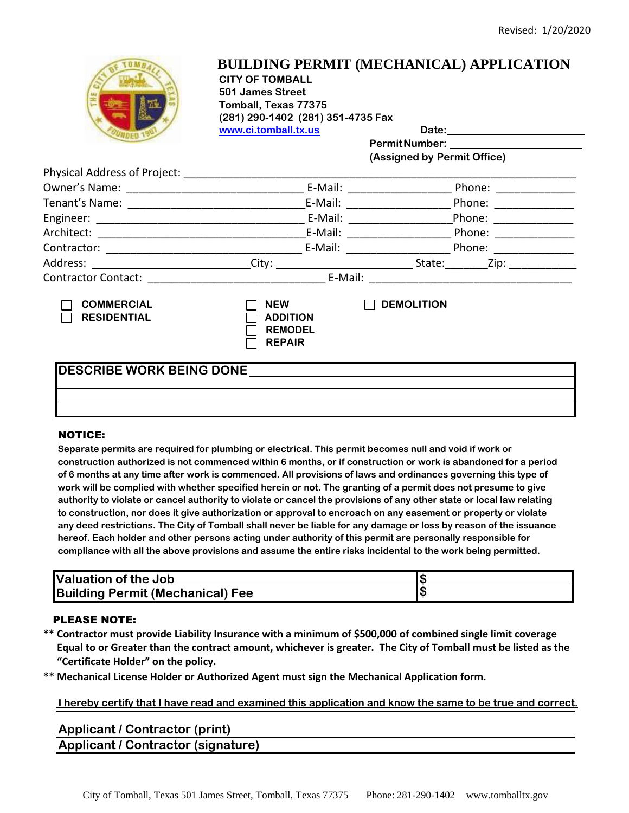

### **BUILDING PERMIT (MECHANICAL) APPLICATION CITY OF TOMBALL 501 James Street Tomball, Texas 77375 (281) 290-1402 (281) 351-4735 Fax**

**www.ci.tomball.tx.us Date:**

**PermitNumber:** 

**(Assigned by Permit Office)**

| Physical Address of Project:                           |                                                                  |                                                                                                                                                                                                                                                   |
|--------------------------------------------------------|------------------------------------------------------------------|---------------------------------------------------------------------------------------------------------------------------------------------------------------------------------------------------------------------------------------------------|
|                                                        |                                                                  | E-Mail: E-Mail:<br>Phone: and the state of the state of the state of the state of the state of the state of the state of the state of the state of the state of the state of the state of the state of the state of the state of the state of the |
|                                                        | E-Mail:                                                          | Phone: ______________                                                                                                                                                                                                                             |
|                                                        |                                                                  | E-Mail: _________<br>Phone: ____________                                                                                                                                                                                                          |
|                                                        |                                                                  | E-Mail: E-Mail:<br>Phone: <u>_______</u>                                                                                                                                                                                                          |
|                                                        |                                                                  | E-Mail: 2008<br>Phone: __________                                                                                                                                                                                                                 |
|                                                        | City:                                                            |                                                                                                                                                                                                                                                   |
| Contractor Contact: <u>___________________________</u> | E-Mail:                                                          |                                                                                                                                                                                                                                                   |
| <b>COMMERCIAL</b><br><b>RESIDENTIAL</b>                | <b>NEW</b><br><b>ADDITION</b><br><b>REMODEL</b><br><b>REPAIR</b> | <b>DEMOLITION</b>                                                                                                                                                                                                                                 |
| <b>DESCRIBE WORK BEING DONE</b>                        |                                                                  |                                                                                                                                                                                                                                                   |

#### NOTICE:

**Separate permits are required for plumbing or electrical. This permit becomes null and void if work or construction authorized is not commenced within 6 months, or if construction or work is abandoned for a period of 6 months at any time after work is commenced. All provisions of laws and ordinances governing this type of work will be complied with whether specified herein or not. The granting of a permit does not presume to give authority to violate or cancel authority to violate or cancel the provisions of any other state or local law relating to construction, nor does it give authorization or approval to encroach on any easement or property or violate any deed restrictions. The City of Tomball shall never be liable for any damage or loss by reason of the issuance hereof. Each holder and other persons acting under authority of this permit are personally responsible for compliance with all the above provisions and assume the entire risks incidental to the work being permitted.**

| <b>Valuation of the Job</b>             |  |
|-----------------------------------------|--|
| <b>Building Permit (Mechanical) Fee</b> |  |

### PLEASE NOTE:

- **\*\* Contractor must provide Liability Insurance with a minimum of \$500,000 of combined single limit coverage Equal to or Greater than the contract amount, whichever is greater. The City of Tomball must be listed as the "Certificate Holder" on the policy.**
- **\*\* Mechanical License Holder or Authorized Agent must sign the Mechanical Application form.**

### **I hereby certify that I have read and examined this application and know the same to be true and correct.**

**Applicant / Contractor (print) Applicant / Contractor (signature)**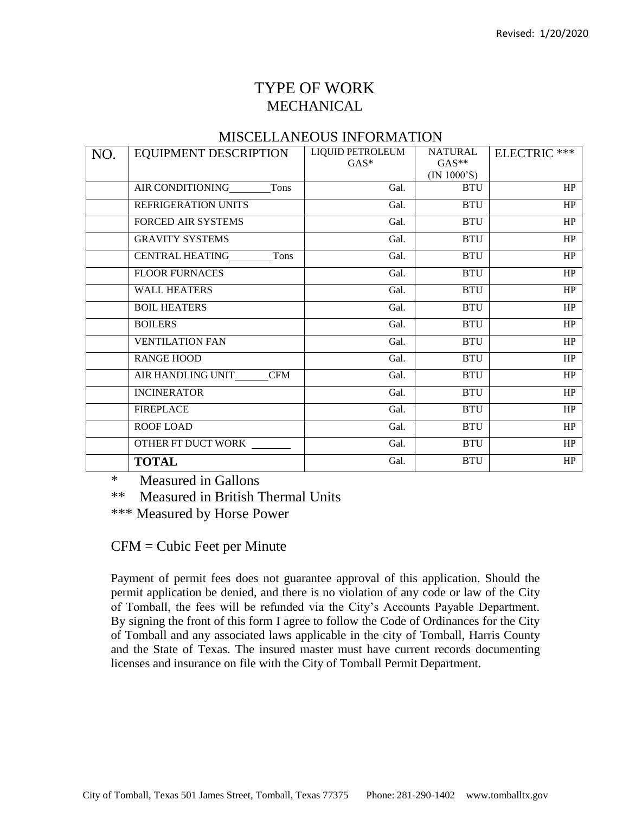# TYPE OF WORK MECHANICAL

## MISCELLANEOUS INFORMATION

| NO. | <b>EQUIPMENT DESCRIPTION</b>    | LIQUID PETROLEUM<br>$GAS^*$ | <b>NATURAL</b><br>$GAS^{**}$<br>(IN 1000'S) | ELECTRIC *** |
|-----|---------------------------------|-----------------------------|---------------------------------------------|--------------|
|     | AIR CONDITIONING<br>Tons        | Gal.                        | <b>BTU</b>                                  | HP           |
|     | REFRIGERATION UNITS             | Gal.                        | <b>BTU</b>                                  | HP           |
|     | <b>FORCED AIR SYSTEMS</b>       | Gal.                        | <b>BTU</b>                                  | $\rm HP$     |
|     | <b>GRAVITY SYSTEMS</b>          | Gal.                        | <b>BTU</b>                                  | $\rm{HP}$    |
|     | <b>CENTRAL HEATING</b><br>Tons  | Gal.                        | <b>BTU</b>                                  | HP           |
|     | <b>FLOOR FURNACES</b>           | Gal.                        | <b>BTU</b>                                  | HP           |
|     | <b>WALL HEATERS</b>             | Gal.                        | <b>BTU</b>                                  | $\rm{HP}$    |
|     | <b>BOIL HEATERS</b>             | Gal.                        | <b>BTU</b>                                  | HP           |
|     | <b>BOILERS</b>                  | Gal.                        | <b>BTU</b>                                  | HP           |
|     | <b>VENTILATION FAN</b>          | Gal.                        | <b>BTU</b>                                  | $\rm HP$     |
|     | <b>RANGE HOOD</b>               | Gal.                        | <b>BTU</b>                                  | HP           |
|     | AIR HANDLING UNIT<br><b>CFM</b> | Gal.                        | <b>BTU</b>                                  | HP           |
|     | <b>INCINERATOR</b>              | Gal.                        | <b>BTU</b>                                  | HP           |
|     | <b>FIREPLACE</b>                | Gal.                        | <b>BTU</b>                                  | HP           |
|     | ROOF LOAD                       | Gal.                        | <b>BTU</b>                                  | HP           |
|     | OTHER FT DUCT WORK              | Gal.                        | <b>BTU</b>                                  | HP           |
|     | <b>TOTAL</b>                    | Gal.                        | <b>BTU</b>                                  | HP           |

\* Measured in Gallons

\*\* Measured in British Thermal Units

\*\*\* Measured by Horse Power

CFM = Cubic Feet per Minute

Payment of permit fees does not guarantee approval of this application. Should the permit application be denied, and there is no violation of any code or law of the City of Tomball, the fees will be refunded via the City's Accounts Payable Department. By signing the front of this form I agree to follow the Code of Ordinances for the City of Tomball and any associated laws applicable in the city of Tomball, Harris County and the State of Texas. The insured master must have current records documenting licenses and insurance on file with the City of Tomball Permit Department.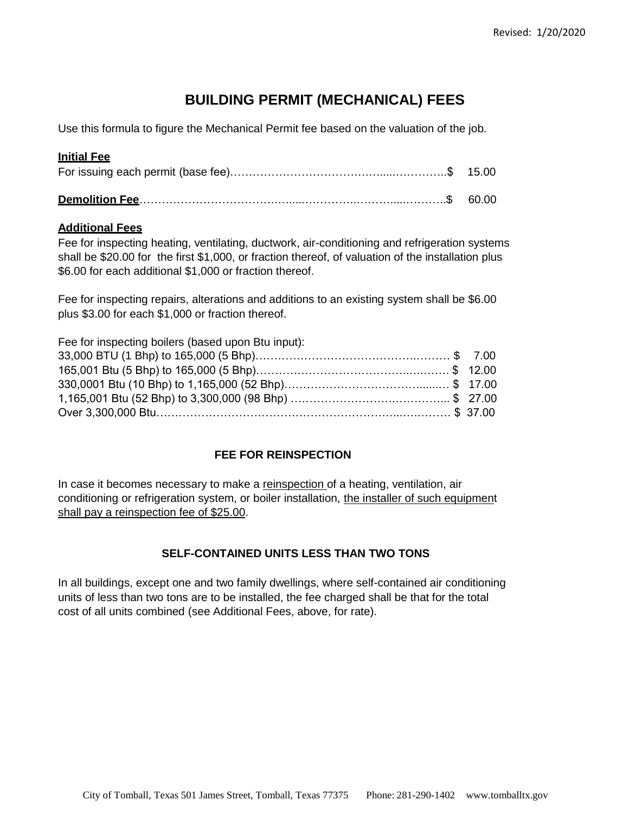# **BUILDING PERMIT (MECHANICAL) FEES**

Use this formula to figure the Mechanical Permit fee based on the valuation of the job.

## **Initial Fee**

### **Additional Fees**

Fee for inspecting heating, ventilating, ductwork, air-conditioning and refrigeration systems shall be \$20.00 for the first \$1,000, or fraction thereof, of valuation of the installation plus \$6.00 for each additional \$1,000 or fraction thereof.

Fee for inspecting repairs, alterations and additions to an existing system shall be \$6.00 plus \$3.00 for each \$1,000 or fraction thereof.

| Fee for inspecting boilers (based upon Btu input): |  |
|----------------------------------------------------|--|
|                                                    |  |
|                                                    |  |
|                                                    |  |
|                                                    |  |
|                                                    |  |

## **FEE FOR REINSPECTION**

In case it becomes necessary to make a reinspection of a heating, ventilation, air conditioning or refrigeration system, or boiler installation, the installer of such equipment shall pay a reinspection fee of \$25.00.

## **SELF-CONTAINED UNITS LESS THAN TWO TONS**

In all buildings, except one and two family dwellings, where self-contained air conditioning units of less than two tons are to be installed, the fee charged shall be that for the total cost of all units combined (see Additional Fees, above, for rate).